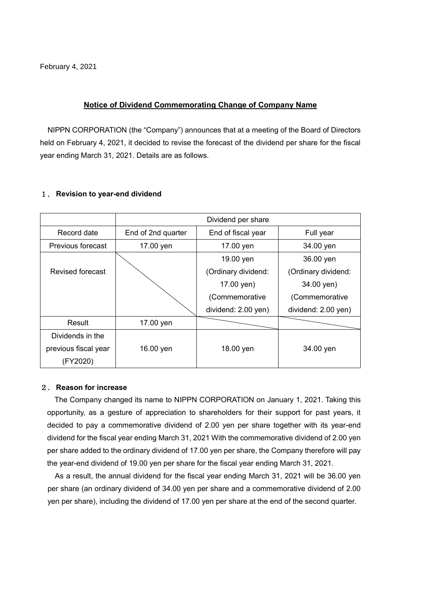February 4, 2021

### **Notice of Dividend Commemorating Change of Company Name**

NIPPN CORPORATION (the "Company") announces that at a meeting of the Board of Directors held on February 4, 2021, it decided to revise the forecast of the dividend per share for the fiscal year ending March 31, 2021. Details are as follows.

#### 1. **Revision to year-end dividend**

|                          | Dividend per share |                     |                     |  |  |  |
|--------------------------|--------------------|---------------------|---------------------|--|--|--|
| Record date              | End of 2nd quarter | End of fiscal year  | Full year           |  |  |  |
| <b>Previous forecast</b> | 17.00 yen          | 17.00 yen           | 34.00 yen           |  |  |  |
|                          |                    | 19.00 yen           | 36.00 yen           |  |  |  |
| Revised forecast         |                    | (Ordinary dividend: | (Ordinary dividend: |  |  |  |
|                          |                    | 17.00 yen)          | 34.00 yen)          |  |  |  |
|                          |                    | (Commemorative      | (Commemorative      |  |  |  |
|                          |                    | dividend: 2.00 yen) | dividend: 2.00 yen) |  |  |  |
| Result                   | 17.00 yen          |                     |                     |  |  |  |
| Dividends in the         |                    |                     |                     |  |  |  |
| previous fiscal year     | 16.00 yen          | 18.00 yen           | 34.00 yen           |  |  |  |
| (FY2020)                 |                    |                     |                     |  |  |  |

#### 2. **Reason for increase**

The Company changed its name to NIPPN CORPORATION on January 1, 2021. Taking this opportunity, as a gesture of appreciation to shareholders for their support for past years, it decided to pay a commemorative dividend of 2.00 yen per share together with its year-end dividend for the fiscal year ending March 31, 2021 With the commemorative dividend of 2.00 yen per share added to the ordinary dividend of 17.00 yen per share, the Company therefore will pay the year-end dividend of 19.00 yen per share for the fiscal year ending March 31, 2021.

As a result, the annual dividend for the fiscal year ending March 31, 2021 will be 36.00 yen per share (an ordinary dividend of 34.00 yen per share and a commemorative dividend of 2.00 yen per share), including the dividend of 17.00 yen per share at the end of the second quarter.